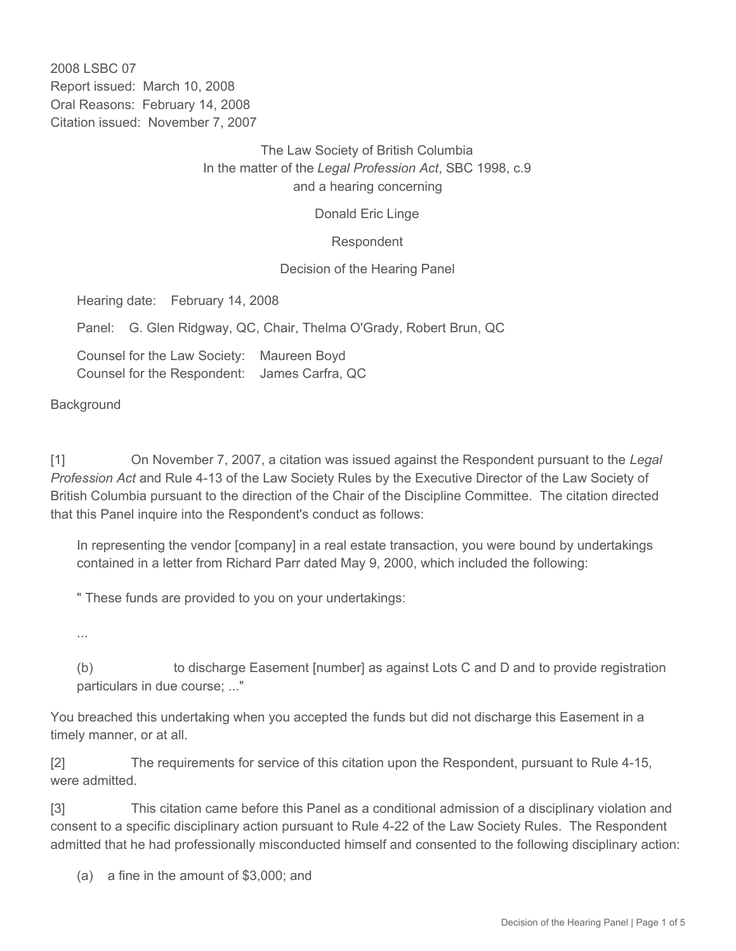2008 LSBC 07 Report issued: March 10, 2008 Oral Reasons: February 14, 2008 Citation issued: November 7, 2007

# The Law Society of British Columbia In the matter of the *Legal Profession Act*, SBC 1998, c.9 and a hearing concerning

Donald Eric Linge

Respondent

Decision of the Hearing Panel

Hearing date: February 14, 2008

Panel: G. Glen Ridgway, QC, Chair, Thelma O'Grady, Robert Brun, QC

Counsel for the Law Society: Maureen Boyd Counsel for the Respondent: James Carfra, QC

**Background** 

[1] On November 7, 2007, a citation was issued against the Respondent pursuant to the *Legal Profession Act* and Rule 4-13 of the Law Society Rules by the Executive Director of the Law Society of British Columbia pursuant to the direction of the Chair of the Discipline Committee. The citation directed that this Panel inquire into the Respondent's conduct as follows:

In representing the vendor [company] in a real estate transaction, you were bound by undertakings contained in a letter from Richard Parr dated May 9, 2000, which included the following:

" These funds are provided to you on your undertakings:

...

(b) to discharge Easement [number] as against Lots C and D and to provide registration particulars in due course; ..."

You breached this undertaking when you accepted the funds but did not discharge this Easement in a timely manner, or at all.

[2] The requirements for service of this citation upon the Respondent, pursuant to Rule 4-15, were admitted.

[3] This citation came before this Panel as a conditional admission of a disciplinary violation and consent to a specific disciplinary action pursuant to Rule 4-22 of the Law Society Rules. The Respondent admitted that he had professionally misconducted himself and consented to the following disciplinary action:

(a) a fine in the amount of \$3,000; and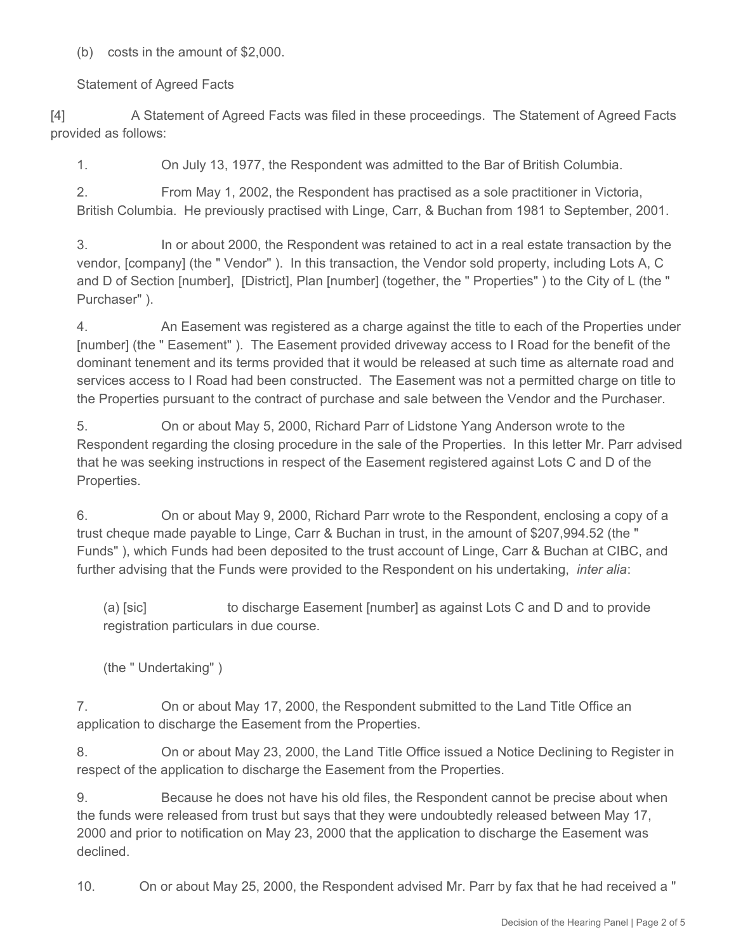(b) costs in the amount of \$2,000.

Statement of Agreed Facts

[4] A Statement of Agreed Facts was filed in these proceedings. The Statement of Agreed Facts provided as follows:

1. On July 13, 1977, the Respondent was admitted to the Bar of British Columbia.

2. From May 1, 2002, the Respondent has practised as a sole practitioner in Victoria, British Columbia. He previously practised with Linge, Carr, & Buchan from 1981 to September, 2001.

3. In or about 2000, the Respondent was retained to act in a real estate transaction by the vendor, [company] (the " Vendor" ). In this transaction, the Vendor sold property, including Lots A, C and D of Section [number], [District], Plan [number] (together, the " Properties" ) to the City of L (the " Purchaser" ).

4. An Easement was registered as a charge against the title to each of the Properties under [number] (the " Easement" ). The Easement provided driveway access to I Road for the benefit of the dominant tenement and its terms provided that it would be released at such time as alternate road and services access to I Road had been constructed. The Easement was not a permitted charge on title to the Properties pursuant to the contract of purchase and sale between the Vendor and the Purchaser.

5. On or about May 5, 2000, Richard Parr of Lidstone Yang Anderson wrote to the Respondent regarding the closing procedure in the sale of the Properties. In this letter Mr. Parr advised that he was seeking instructions in respect of the Easement registered against Lots C and D of the Properties.

6. On or about May 9, 2000, Richard Parr wrote to the Respondent, enclosing a copy of a trust cheque made payable to Linge, Carr & Buchan in trust, in the amount of \$207,994.52 (the " Funds" ), which Funds had been deposited to the trust account of Linge, Carr & Buchan at CIBC, and further advising that the Funds were provided to the Respondent on his undertaking, *inter alia*:

(a) [sic] to discharge Easement [number] as against Lots C and D and to provide registration particulars in due course.

(the " Undertaking" )

7. On or about May 17, 2000, the Respondent submitted to the Land Title Office an application to discharge the Easement from the Properties.

8. On or about May 23, 2000, the Land Title Office issued a Notice Declining to Register in respect of the application to discharge the Easement from the Properties.

9. Because he does not have his old files, the Respondent cannot be precise about when the funds were released from trust but says that they were undoubtedly released between May 17, 2000 and prior to notification on May 23, 2000 that the application to discharge the Easement was declined.

10. On or about May 25, 2000, the Respondent advised Mr. Parr by fax that he had received a "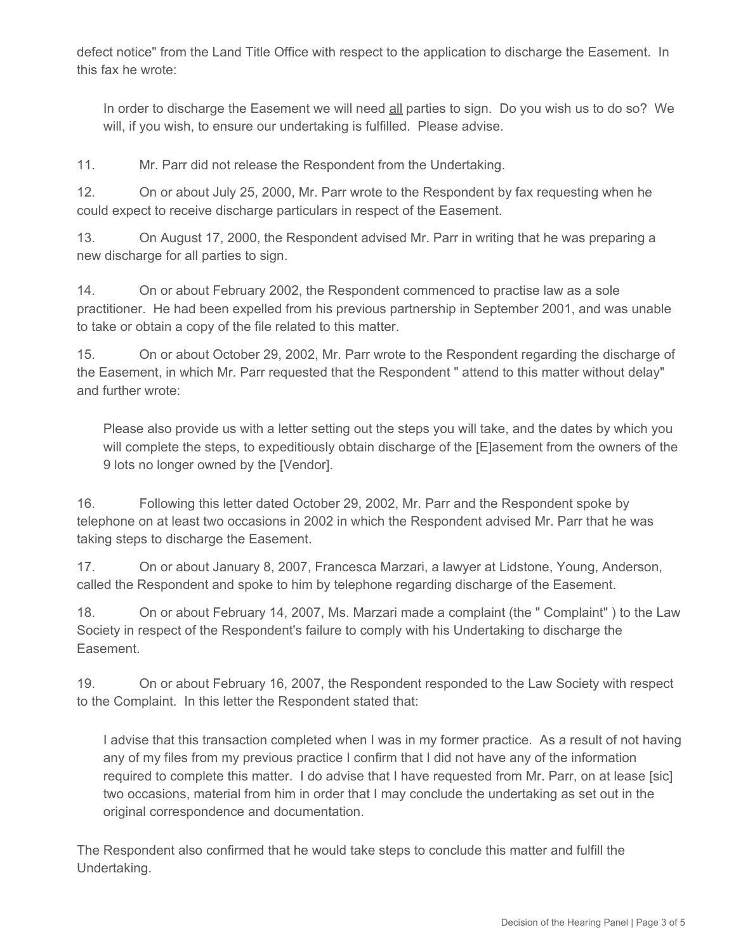defect notice" from the Land Title Office with respect to the application to discharge the Easement. In this fax he wrote:

In order to discharge the Easement we will need all parties to sign. Do you wish us to do so? We will, if you wish, to ensure our undertaking is fulfilled. Please advise.

11. Mr. Parr did not release the Respondent from the Undertaking.

12. On or about July 25, 2000, Mr. Parr wrote to the Respondent by fax requesting when he could expect to receive discharge particulars in respect of the Easement.

13. On August 17, 2000, the Respondent advised Mr. Parr in writing that he was preparing a new discharge for all parties to sign.

14. On or about February 2002, the Respondent commenced to practise law as a sole practitioner. He had been expelled from his previous partnership in September 2001, and was unable to take or obtain a copy of the file related to this matter.

15. On or about October 29, 2002, Mr. Parr wrote to the Respondent regarding the discharge of the Easement, in which Mr. Parr requested that the Respondent " attend to this matter without delay" and further wrote:

Please also provide us with a letter setting out the steps you will take, and the dates by which you will complete the steps, to expeditiously obtain discharge of the [E]asement from the owners of the 9 lots no longer owned by the [Vendor].

16. Following this letter dated October 29, 2002, Mr. Parr and the Respondent spoke by telephone on at least two occasions in 2002 in which the Respondent advised Mr. Parr that he was taking steps to discharge the Easement.

17. On or about January 8, 2007, Francesca Marzari, a lawyer at Lidstone, Young, Anderson, called the Respondent and spoke to him by telephone regarding discharge of the Easement.

18. On or about February 14, 2007, Ms. Marzari made a complaint (the " Complaint" ) to the Law Society in respect of the Respondent's failure to comply with his Undertaking to discharge the Easement.

19. On or about February 16, 2007, the Respondent responded to the Law Society with respect to the Complaint. In this letter the Respondent stated that:

I advise that this transaction completed when I was in my former practice. As a result of not having any of my files from my previous practice I confirm that I did not have any of the information required to complete this matter. I do advise that I have requested from Mr. Parr, on at lease [sic] two occasions, material from him in order that I may conclude the undertaking as set out in the original correspondence and documentation.

The Respondent also confirmed that he would take steps to conclude this matter and fulfill the Undertaking.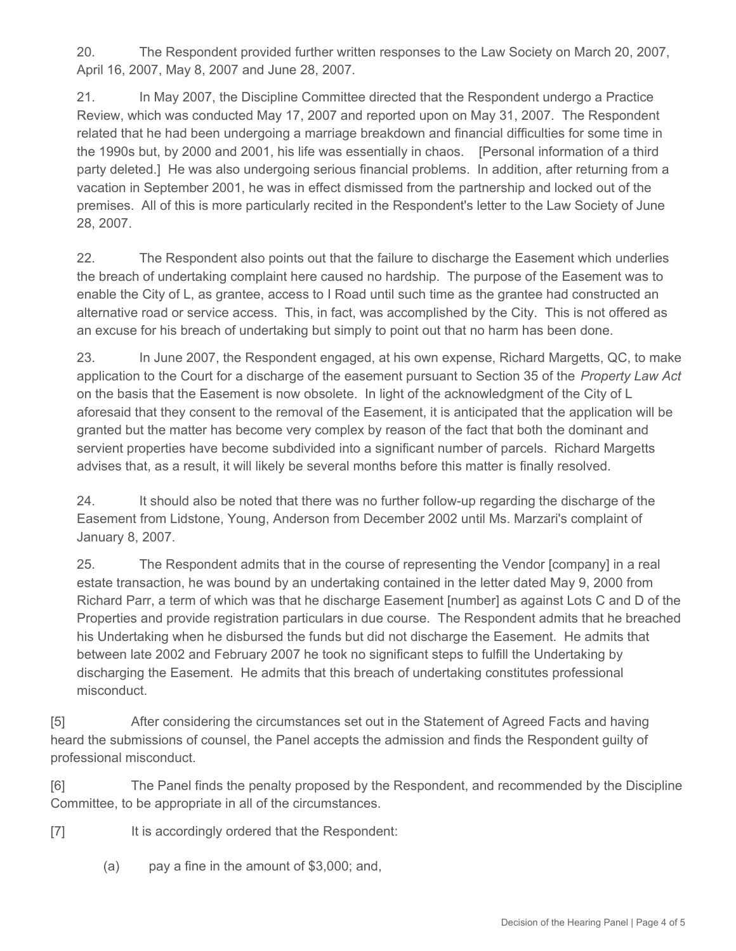20. The Respondent provided further written responses to the Law Society on March 20, 2007, April 16, 2007, May 8, 2007 and June 28, 2007.

21. In May 2007, the Discipline Committee directed that the Respondent undergo a Practice Review, which was conducted May 17, 2007 and reported upon on May 31, 2007. The Respondent related that he had been undergoing a marriage breakdown and financial difficulties for some time in the 1990s but, by 2000 and 2001, his life was essentially in chaos. [Personal information of a third party deleted.] He was also undergoing serious financial problems. In addition, after returning from a vacation in September 2001, he was in effect dismissed from the partnership and locked out of the premises. All of this is more particularly recited in the Respondent's letter to the Law Society of June 28, 2007.

22. The Respondent also points out that the failure to discharge the Easement which underlies the breach of undertaking complaint here caused no hardship. The purpose of the Easement was to enable the City of L, as grantee, access to I Road until such time as the grantee had constructed an alternative road or service access. This, in fact, was accomplished by the City. This is not offered as an excuse for his breach of undertaking but simply to point out that no harm has been done.

23. In June 2007, the Respondent engaged, at his own expense, Richard Margetts, QC, to make application to the Court for a discharge of the easement pursuant to Section 35 of the *Property Law Act* on the basis that the Easement is now obsolete. In light of the acknowledgment of the City of L aforesaid that they consent to the removal of the Easement, it is anticipated that the application will be granted but the matter has become very complex by reason of the fact that both the dominant and servient properties have become subdivided into a significant number of parcels. Richard Margetts advises that, as a result, it will likely be several months before this matter is finally resolved.

24. It should also be noted that there was no further follow-up regarding the discharge of the Easement from Lidstone, Young, Anderson from December 2002 until Ms. Marzari's complaint of January 8, 2007.

25. The Respondent admits that in the course of representing the Vendor [company] in a real estate transaction, he was bound by an undertaking contained in the letter dated May 9, 2000 from Richard Parr, a term of which was that he discharge Easement [number] as against Lots C and D of the Properties and provide registration particulars in due course. The Respondent admits that he breached his Undertaking when he disbursed the funds but did not discharge the Easement. He admits that between late 2002 and February 2007 he took no significant steps to fulfill the Undertaking by discharging the Easement. He admits that this breach of undertaking constitutes professional misconduct.

[5] After considering the circumstances set out in the Statement of Agreed Facts and having heard the submissions of counsel, the Panel accepts the admission and finds the Respondent guilty of professional misconduct.

[6] The Panel finds the penalty proposed by the Respondent, and recommended by the Discipline Committee, to be appropriate in all of the circumstances.

- [7] It is accordingly ordered that the Respondent:
	- (a) pay a fine in the amount of \$3,000; and,